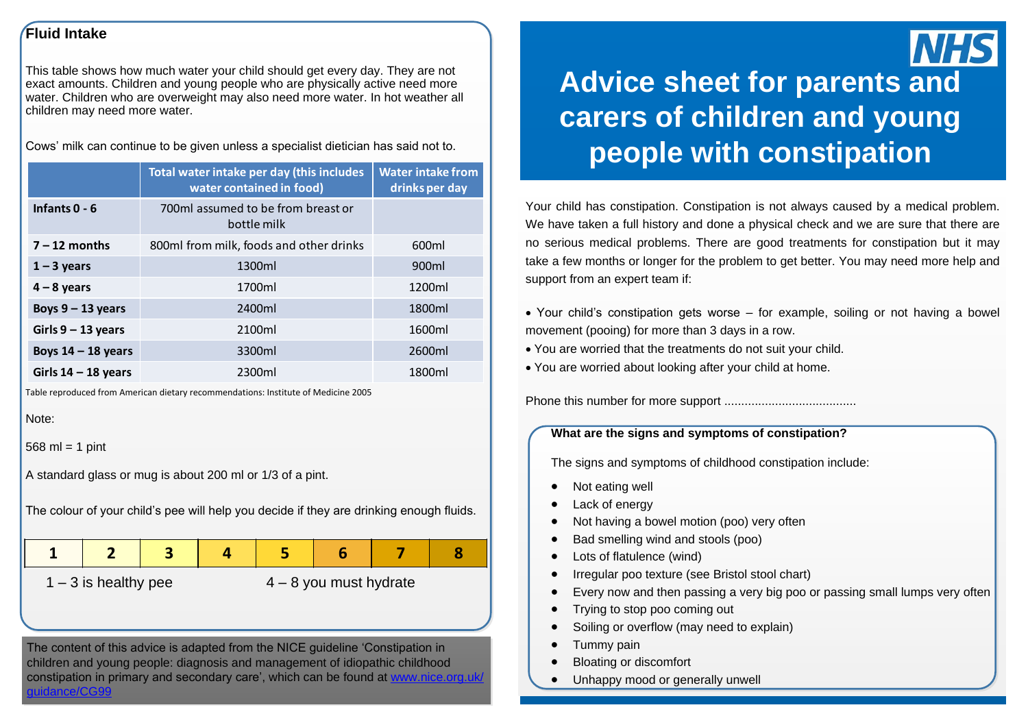#### **Fluid Intake**

This table shows how much water your child should get every day. They are not exact amounts. Children and young people who are physically active need more water. Children who are overweight may also need more water. In hot weather all children may need more water.

Cows' milk can continue to be given unless a specialist dietician has said not to.

|                       | Total water intake per day (this includes<br>water contained in food) | <b>Water intake from</b><br>drinks per day |
|-----------------------|-----------------------------------------------------------------------|--------------------------------------------|
| Infants $0 - 6$       | 700ml assumed to be from breast or<br>bottle milk                     |                                            |
| $7 - 12$ months       | 800ml from milk, foods and other drinks                               | 600ml                                      |
| $1 - 3$ years         | 1300ml                                                                | 900 <sub>ml</sub>                          |
| $4 - 8$ years         | 1700ml                                                                | 1200ml                                     |
| Boys $9 - 13$ years   | 2400ml                                                                | 1800ml                                     |
| Girls $9 - 13$ years  | 2100ml                                                                | 1600ml                                     |
| Boys $14 - 18$ years  | 3300ml                                                                | 2600ml                                     |
| Girls $14 - 18$ years | 2300ml                                                                | 1800ml                                     |

Table reproduced from American dietary recommendations: Institute of Medicine 2005

```
Note:
```
 $568$  ml = 1 pint

A standard glass or mug is about 200 ml or 1/3 of a pint.

The colour of your child's pee will help you decide if they are drinking enough fluids.

**1 2 3 4 5 6 7 8**

 $1 - 3$  is healthy pee  $4 - 8$  you must hydrate

The content of this advice is adapted from the NICE guideline 'Constipation in children and young people: diagnosis and management of idiopathic childhood constipation in primary and secondary care', which can be found at www.nice.org.uk/ guidance/CG99

# **Advice sheet for parents and carers of children and young people with constipation**

Your child has constipation. Constipation is not always caused by a medical problem. We have taken a full history and done a physical check and we are sure that there are no serious medical problems. There are good treatments for constipation but it may take a few months or longer for the problem to get better. You may need more help and support from an expert team if:

- Your child's constipation gets worse for example, soiling or not having a bowel movement (pooing) for more than 3 days in a row.
- You are worried that the treatments do not suit your child.
- You are worried about looking after your child at home.

Phone this number for more support .......................................

#### **What are the signs and symptoms of constipation?**

The signs and symptoms of childhood constipation include:

- Not eating well
- Lack of energy
- Not having a bowel motion (poo) very often
- Bad smelling wind and stools (poo)
- Lots of flatulence (wind)
- Irregular poo texture (see Bristol stool chart)
- Every now and then passing a very big poo or passing small lumps very often
- Trying to stop poo coming out
- Soiling or overflow (may need to explain)
- Tummy pain
- Bloating or discomfort
- Unhappy mood or generally unwell